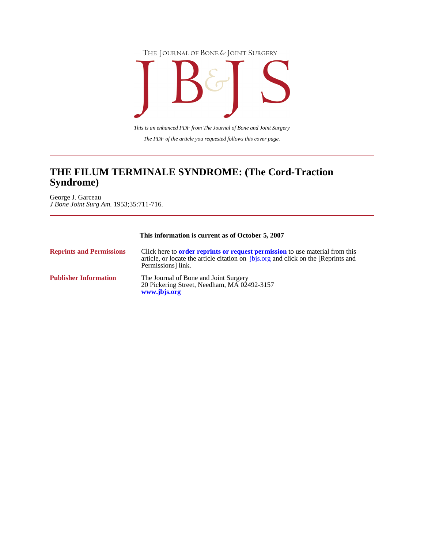



*The PDF of the article you requested follows this cover page. This is an enhanced PDF from The Journal of Bone and Joint Surgery*

# **Syndrome) THE FILUM TERMINALE SYNDROME: (The Cord-Traction**

*J Bone Joint Surg Am.* 1953;35:711-716. George J. Garceau

# **This information is current as of October 5, 2007**

| <b>Reprints and Permissions</b> | Click here to <b>order reprints or request permission</b> to use material from this<br>article, or locate the article citation on <i>jbjs.org</i> and click on the [Reprints and<br>Permissions link. |
|---------------------------------|-------------------------------------------------------------------------------------------------------------------------------------------------------------------------------------------------------|
| <b>Publisher Information</b>    | The Journal of Bone and Joint Surgery<br>20 Pickering Street, Needham, MA 02492-3157<br>www.jbjs.org                                                                                                  |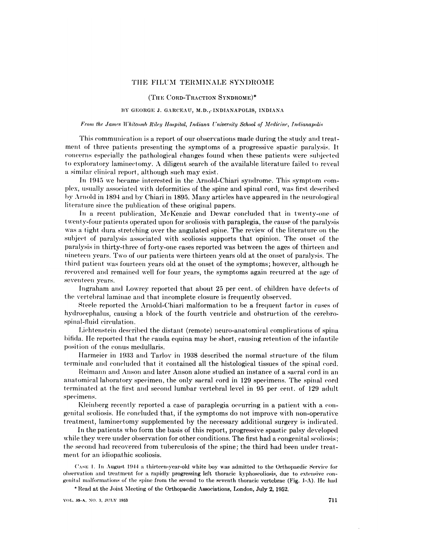# THE FILUM TERMINALE SYNDROME

(THE CORD-TRACTION SYNDROME)\*

# BY GEORGE J. GARCEAU, M.D., INDIANAPOLIS, INDIANA

#### From the James Whitcomb Riley Hospital, Indiana University School of Medicine, Indianapolis

This communication is a report of our observations made during the study and treatment of three patients presenting the symptoms of a progressive spastic paralysis. It concerns especially the pathological changes found when these patients were subjected to exploratory laminectomy. A diligent search of the available literature failed to reveal a similar clinical report, although such may exist.

In 1945 we became interested in the Arnold-Chiari syndrome. This symptom complex, usually associated with deformities of the spine and spinal cord, was first described by Arnold in 1894 and by Chiari in 1895. Many articles have appeared in the neurological literature since the publication of these original papers.

In a recent publication, McKenzie and Dewar concluded that in twenty-one of twenty-four patients operated upon for scoliosis with paraplegia, the cause of the paralysis was a tight dura stretching over the angulated spine. The review of the literature on the subject of paralysis associated with scoliosis supports that opinion. The onset of the paralysis in thirty-three of forty-one cases reported was between the ages of thirteen and nineteen years. Two of our patients were thirteen years old at the onset of paralysis. The third patient was fourteen years old at the onset of the symptoms; however, although he recovered and remained well for four years, the symptoms again recurred at the age of seventeen years.

Ingraham and Lowrey reported that about 25 per cent. of children have defects of the vertebral laminae and that incomplete closure is frequently observed.

Steele reported the Arnold-Chiari malformation to be a frequent factor in cases of hydrocephalus, causing a block of the fourth ventricle and obstruction of the cerebrospinal-fluid circulation.

Liehtenstein described the distant (remote) neuro-anatomical complications of spina bifida. He reported that the cauda equina may be short, causing retention of the infantile position of the conus medullaris.

Harmeier in 1933 and Tarlov in 1938 described the normal structure of the filum terminale and concluded that it contained all the histological tissues of the spinal cord.

Reimann and Anson and later Anson alone studied an instance of a sacral cord in an anatomical laboratory specimen, the only sacral cord in 129 specimens. The spinal cord terminated at the first and second lumbar vertebral level in 95 per cent. of 129 adult specimens.

Kleinberg recently reported a case of paraplegia occurring in a patient with a congenital scoliosis. He concluded that, if the symptoms do not improve with non-operative treatment, laminectomy supplemented by the necessary additional surgery is indicated.

In the patients who form the basis of this report, progressive spastic palsy developed while they were under observation for other conditions. The first had a congenital scoliosis; the second had recovered from tuberculosis of the spine; the third had been under treatment for an idiopathic scoliosis.

Case 1. In August 1944 a thirteen-year-old white boy was admitted to the Orthopaedic Service for observation and treatment for a rapidly progressing left thoracic kyphoseoliosis, due to extensive congenital malformations of the spine from the second to the seventh thoracic vertebrae (Fig. 1-A). He had

\* Read at the Joint Meeting of the Orthopaedic Associations, London, July 2, 1952.

VOL. 35-A, NO. 3, JULY 1953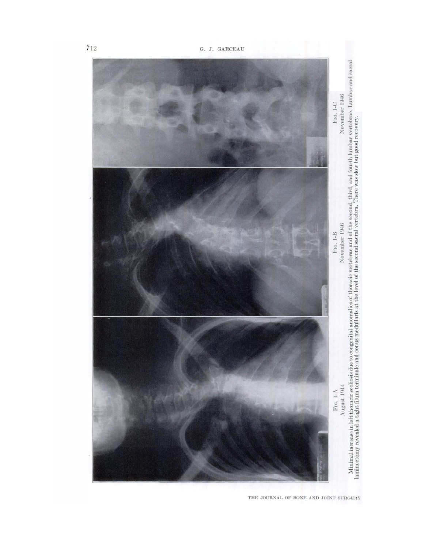

THE JOURNAL OF BONE AND JOINT SURGERY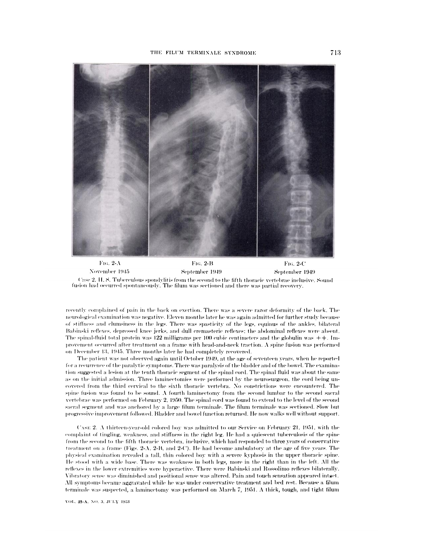

FIG. 2- $\Lambda$ FIG. 2-B FIG. 2-C November 1945 September 1949 September 1949 Case 2, H.S. Tuberculous spondylitis from the second to the fifth thoracic vertebrae inclusive. Sound fusion had occurred spontaneously. The filum was sectioned and there was partial recovery.

recently complained of pain in the back on exertion. There was a severe razor deformity of the back. The neurological examination was negative. Eleven months later he was again admitted for further study because of stiffness and clumsiness in the legs. There was spasticity of the legs, equinus of the ankles, bilateral Babinski reflexes, depressed knee jerks, and dull cremasteric reflexes; the abdominal reflexes were absent. The spinal-fluid total protein was 122 milligrams per 100 cubic centimeters and the globulin was  $++$ . Improvement occurred after treatment on a frame with head-and-neck traction. A spine fusion was performed on December 13, 1945. Three months later he had completely recovered.

The patient was not observed again until October 1949, at the age of seventeen years, when he reported for a recurrence of the paralytic symptoms. There was paralysis of the bladder and of the bowel. The examination suggested a lesion at the tenth thoracic segment of the spinal cord. The spinal fluid was about the same as on the initial admission. Three laminectomies were performed by the neurosurgeon, the cord being uncovered from the third cervical to the sixth thoracic vertebra. No constrictions were encountered. The spine fusion was found to be sound. A fourth laminectomy from the second lumbar to the second sacral vertebrae was performed on February 2, 1950. The spinal cord was found to extend to the level of the second sacral segment and was anchored by a large filum terminale. The filum terminale was sectioned. Slow but progressive improvement followed. Bladder and bowel function returned. He now walks well without support.

CASE 2. A thirteen-year-old colored boy was admitted to our Service on February 21, 1951, with the complaint of tingling, weakness, and stiffness in the right leg. He had a quiescent tuberculosis of the spine from the second to the fifth thoracic vertebra, inclusive, which had responded to three years of conservative treatment on a frame (Figs. 2-A, 2-B, and 2-C). He had become ambulatory at the age of five years. The physical examination revealed a tall, thin colored boy with a severe kyphosis in the upper thoracic spine. He stood with a wide base. There was weakness in both legs, more in the right than in the left. All the reflexes in the lower extremities were hyperactive. There were Babinski and Rossolimo reflexes bilaterally. Vibratory sense was diminished and positional sense was altered. Pain and touch sensation appeared intact. All symptoms became aggravated while he was under conservative treatment and bed rest. Because a filum terminale was suspected, a laminectomy was performed on March 7, 1951. A thick, tough, and tight filum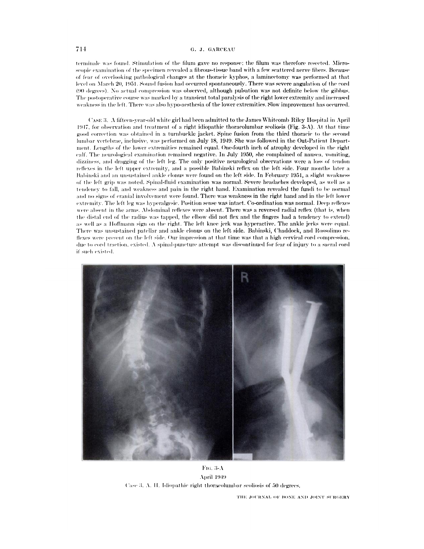## G. J. GARCEAU

terminale was found. Stimulation of the filum gave no response; the filum was therefore resected. Microscopic examination of the specimen revealed a fibrous-tissue band with a few scattered nerve fibers. Because of fear of overlooking pathological changes at the thoracic kyphos, a laminectomy was performed at that level on March 20, 1951. Sound fusion had occurred spontaneously. There was severe angulation of the cord (90 degrees). No actual compression was observed, although pulsation was not definite below the gibbus. The postoperative course was marked by a transient total paralysis of the right lower extremity and increased weakness in the left. There was also hypo-aesthesia of the lower extremities. Slow improvement has occurred.

CASE 3. A fifteen-year-old white girl had been admitted to the James Whitcomb Riley Hospital in April 1947, for observation and treatment of a right idiopathic thoracolumbar scoliosis (Fig. 3-A). At that time good correction was obtained in a turnbuckle jacket. Spine fusion from the third thoracic to the second lumbar vertebrae, inclusive, was performed on July 18, 1949. She was followed in the Out-Patient Department. Lengths of the lower extremities remained equal. One-fourth inch of atrophy developed in the right calf. The neurological examination remained negative. In July 1950, she complained of nausea, vomiting, dizziness, and dragging of the left leg. The only positive neurological observations were a loss of tendon reflexes in the left upper extremity, and a possible Babinski reflex on the left side. Four months later a Babinski and an unsustained ankle clonus were found on the left side. In February 1951, a slight weakness of the left grip was noted. Spinal-fluid examination was normal. Severe headaches developed, as well as a tendency to fall, and weakness and pain in the right hand. Examination revealed the fundi to be normal and no signs of cranial involvement were found. There was weakness in the right hand and in the left lower extremity. The left leg was hyperalgesic. Position sense was intact. Co-ordination was normal. Deep reflexes were absent in the arms. Abdominal reflexes were absent. There was a reversed radial reflex (that is, when the distal end of the radius was tapped, the elbow did not flex and the fingers had a tendency to extend) as well as a Hoffmann sign on the right. The left knee jerk was hyperactive. The ankle jerks were equal. There was unsustained patellar and ankle clonus on the left side. Babinski, Chaddock, and Rossolimo reflexes were present on the left side. Our impression at that time was that a high cervical cord compression, due to cord traction, existed. A spinal-puncture attempt was discontinued for fear of injury to a sacral cord if such existed.



FIG. 3- $\Lambda$ April 1949 Case 3, A. H. Idiopathic right thoracolumbar scoliosis of 50 degrees.

THE JOURNAL OF BONE AND JOINT SURGERY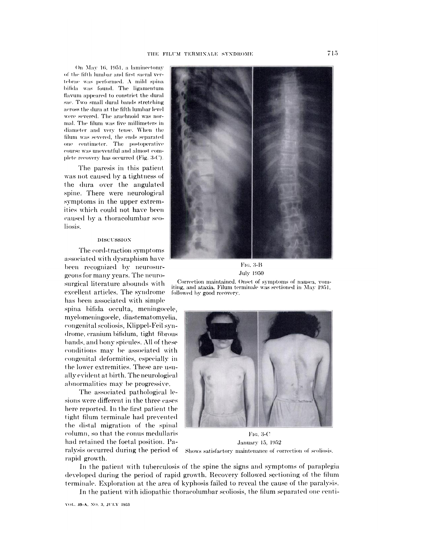On May 16, 1951, a laminectomy of the fifth lumbar and first sacral vertebrae was performed. A mild spina bifida was found. The ligamentum flavum appeared to constrict the dural sac. Two small dural bands stretching across the dura at the fifth lumbar level were severed. The arachnoid was normal. The filum was five millimeters in diameter and very tense. When the filum was severed, the ends separated one centimeter. The postoperative course was uneventful and almost complete recovery has occurred (Fig. 3-C).

The paresis in this patient was not caused by a tightness of the dura over the angulated spine. There were neurological symptoms in the upper extremities which could not have been caused by a thoracolumbar scoliosis.

## DISCUSSION

The cord-traction symptoms associated with dysraphism have been recognized by neurosurgeons for many years. The neurosurgical literature abounds with excellent articles. The syndrome has been associated with simple spina bifida occulta, meningocele, myelomeningocele, diastematomyelia, congenital scoliosis, Klippel-Feil syndrome, cranium bifidum, tight fibrous bands, and bony spicules. All of these conditions may be associated with congenital deformities, especially in the lower extremities. These are usually evident at birth. The neurological abnormalities may be progressive.

The associated pathological lesions were different in the three cases here reported. In the first patient the tight filum terminale had prevented the distal migration of the spinal column, so that the conus medullaris had retained the foetal position. Paralysis occurred during the period of rapid growth.



FIG. 3-B **July 1950** 

Correction maintained. Onset of symptoms of nausea, vomiting, and ataxia. Filum terminale was sectioned in May 1951, followed by good recovery.



FIG. 3-C January 15, 1952 Shows satisfactory maintenance of correction of scoliosis.

In the patient with tuberculosis of the spine the signs and symptoms of paraplegia developed during the period of rapid growth. Recovery followed sectioning of the filum terminale. Exploration at the area of kyphosis failed to reveal the cause of the paralysis.

In the patient with idiopathic thoracolumbar scoliosis, the filum separated one centi-